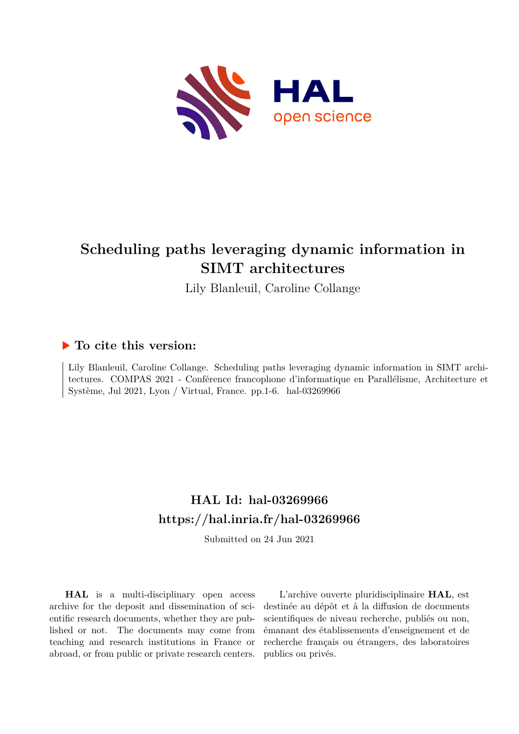

# **Scheduling paths leveraging dynamic information in SIMT architectures**

Lily Blanleuil, Caroline Collange

## **To cite this version:**

Lily Blanleuil, Caroline Collange. Scheduling paths leveraging dynamic information in SIMT architectures. COMPAS 2021 - Conférence francophone d'informatique en Parallélisme, Architecture et Système, Jul 2021, Lyon / Virtual, France. pp. 1-6. hal-03269966

## **HAL Id: hal-03269966 <https://hal.inria.fr/hal-03269966>**

Submitted on 24 Jun 2021

**HAL** is a multi-disciplinary open access archive for the deposit and dissemination of scientific research documents, whether they are published or not. The documents may come from teaching and research institutions in France or abroad, or from public or private research centers.

L'archive ouverte pluridisciplinaire **HAL**, est destinée au dépôt et à la diffusion de documents scientifiques de niveau recherche, publiés ou non, émanant des établissements d'enseignement et de recherche français ou étrangers, des laboratoires publics ou privés.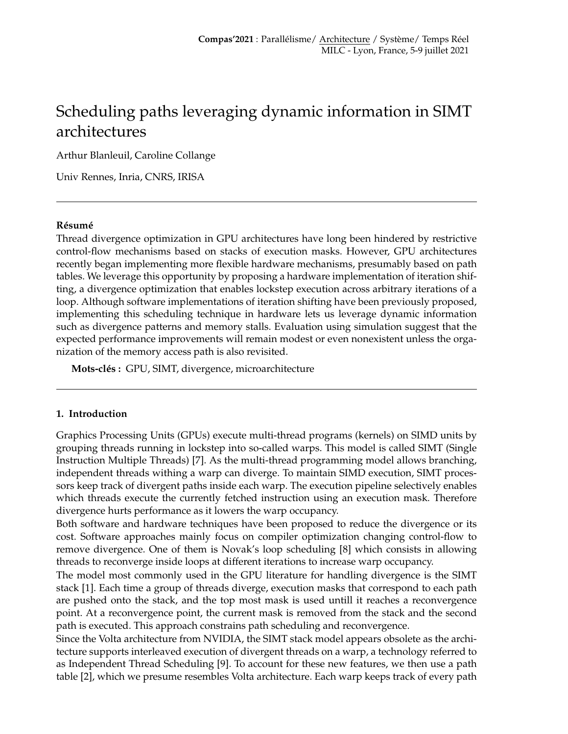## Scheduling paths leveraging dynamic information in SIMT architectures

Arthur Blanleuil, Caroline Collange

Univ Rennes, Inria, CNRS, IRISA

#### **Résumé**

Thread divergence optimization in GPU architectures have long been hindered by restrictive control-flow mechanisms based on stacks of execution masks. However, GPU architectures recently began implementing more flexible hardware mechanisms, presumably based on path tables. We leverage this opportunity by proposing a hardware implementation of iteration shifting, a divergence optimization that enables lockstep execution across arbitrary iterations of a loop. Although software implementations of iteration shifting have been previously proposed, implementing this scheduling technique in hardware lets us leverage dynamic information such as divergence patterns and memory stalls. Evaluation using simulation suggest that the expected performance improvements will remain modest or even nonexistent unless the organization of the memory access path is also revisited.

**Mots-clés :** GPU, SIMT, divergence, microarchitecture

#### **1. Introduction**

Graphics Processing Units (GPUs) execute multi-thread programs (kernels) on SIMD units by grouping threads running in lockstep into so-called warps. This model is called SIMT (Single Instruction Multiple Threads) [7]. As the multi-thread programming model allows branching, independent threads withing a warp can diverge. To maintain SIMD execution, SIMT processors keep track of divergent paths inside each warp. The execution pipeline selectively enables which threads execute the currently fetched instruction using an execution mask. Therefore divergence hurts performance as it lowers the warp occupancy.

Both software and hardware techniques have been proposed to reduce the divergence or its cost. Software approaches mainly focus on compiler optimization changing control-flow to remove divergence. One of them is Novak's loop scheduling [8] which consists in allowing threads to reconverge inside loops at different iterations to increase warp occupancy.

The model most commonly used in the GPU literature for handling divergence is the SIMT stack [1]. Each time a group of threads diverge, execution masks that correspond to each path are pushed onto the stack, and the top most mask is used untill it reaches a reconvergence point. At a reconvergence point, the current mask is removed from the stack and the second path is executed. This approach constrains path scheduling and reconvergence.

Since the Volta architecture from NVIDIA, the SIMT stack model appears obsolete as the architecture supports interleaved execution of divergent threads on a warp, a technology referred to as Independent Thread Scheduling [9]. To account for these new features, we then use a path table [2], which we presume resembles Volta architecture. Each warp keeps track of every path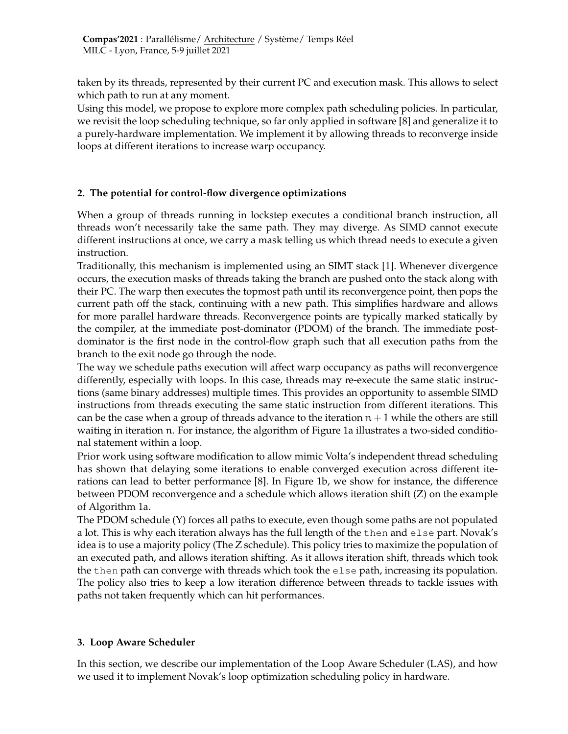taken by its threads, represented by their current PC and execution mask. This allows to select which path to run at any moment.

Using this model, we propose to explore more complex path scheduling policies. In particular, we revisit the loop scheduling technique, so far only applied in software [8] and generalize it to a purely-hardware implementation. We implement it by allowing threads to reconverge inside loops at different iterations to increase warp occupancy.

## **2. The potential for control-flow divergence optimizations**

When a group of threads running in lockstep executes a conditional branch instruction, all threads won't necessarily take the same path. They may diverge. As SIMD cannot execute different instructions at once, we carry a mask telling us which thread needs to execute a given instruction.

Traditionally, this mechanism is implemented using an SIMT stack [1]. Whenever divergence occurs, the execution masks of threads taking the branch are pushed onto the stack along with their PC. The warp then executes the topmost path until its reconvergence point, then pops the current path off the stack, continuing with a new path. This simplifies hardware and allows for more parallel hardware threads. Reconvergence points are typically marked statically by the compiler, at the immediate post-dominator (PDOM) of the branch. The immediate postdominator is the first node in the control-flow graph such that all execution paths from the branch to the exit node go through the node.

The way we schedule paths execution will affect warp occupancy as paths will reconvergence differently, especially with loops. In this case, threads may re-execute the same static instructions (same binary addresses) multiple times. This provides an opportunity to assemble SIMD instructions from threads executing the same static instruction from different iterations. This can be the case when a group of threads advance to the iteration  $n + 1$  while the others are still waiting in iteration n. For instance, the algorithm of Figure 1a illustrates a two-sided conditional statement within a loop.

Prior work using software modification to allow mimic Volta's independent thread scheduling has shown that delaying some iterations to enable converged execution across different iterations can lead to better performance [8]. In Figure 1b, we show for instance, the difference between PDOM reconvergence and a schedule which allows iteration shift (Z) on the example of Algorithm 1a.

The PDOM schedule (Y) forces all paths to execute, even though some paths are not populated a lot. This is why each iteration always has the full length of the then and else part. Novak's idea is to use a majority policy (The Z schedule). This policy tries to maximize the population of an executed path, and allows iteration shifting. As it allows iteration shift, threads which took the then path can converge with threads which took the else path, increasing its population. The policy also tries to keep a low iteration difference between threads to tackle issues with paths not taken frequently which can hit performances.

### **3. Loop Aware Scheduler**

In this section, we describe our implementation of the Loop Aware Scheduler (LAS), and how we used it to implement Novak's loop optimization scheduling policy in hardware.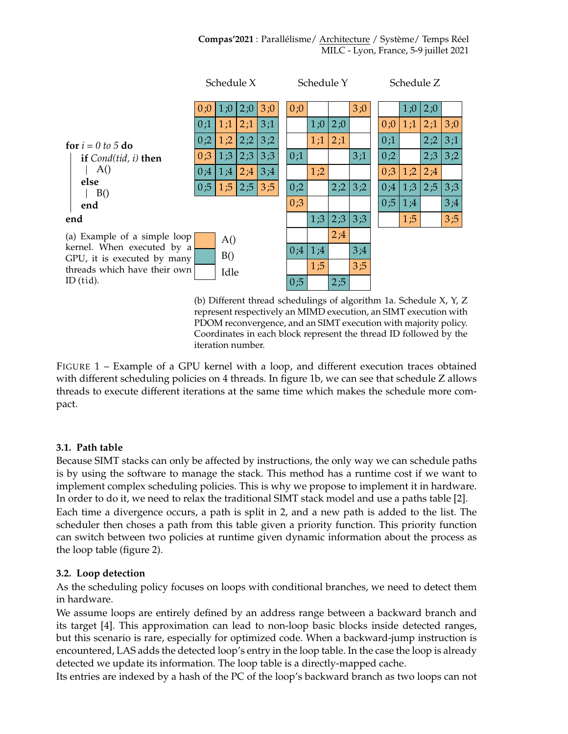

(b) Different thread schedulings of algorithm 1a. Schedule X, Y, Z represent respectively an MIMD execution, an SIMT execution with PDOM reconvergence, and an SIMT execution with majority policy. Coordinates in each block represent the thread ID followed by the iteration number.

FIGURE 1 – Example of a GPU kernel with a loop, and different execution traces obtained with different scheduling policies on 4 threads. In figure 1b, we can see that schedule Z allows threads to execute different iterations at the same time which makes the schedule more compact.

### **3.1. Path table**

Because SIMT stacks can only be affected by instructions, the only way we can schedule paths is by using the software to manage the stack. This method has a runtime cost if we want to implement complex scheduling policies. This is why we propose to implement it in hardware. In order to do it, we need to relax the traditional SIMT stack model and use a paths table [2].

Each time a divergence occurs, a path is split in 2, and a new path is added to the list. The scheduler then choses a path from this table given a priority function. This priority function can switch between two policies at runtime given dynamic information about the process as the loop table (figure 2).

## **3.2. Loop detection**

As the scheduling policy focuses on loops with conditional branches, we need to detect them in hardware.

We assume loops are entirely defined by an address range between a backward branch and its target [4]. This approximation can lead to non-loop basic blocks inside detected ranges, but this scenario is rare, especially for optimized code. When a backward-jump instruction is encountered, LAS adds the detected loop's entry in the loop table. In the case the loop is already detected we update its information. The loop table is a directly-mapped cache.

Its entries are indexed by a hash of the PC of the loop's backward branch as two loops can not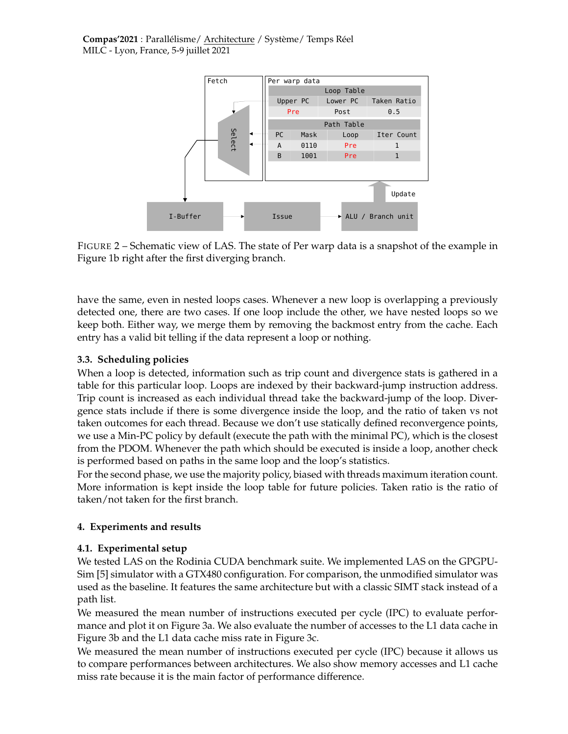

FIGURE 2 – Schematic view of LAS. The state of Per warp data is a snapshot of the example in Figure 1b right after the first diverging branch.

have the same, even in nested loops cases. Whenever a new loop is overlapping a previously detected one, there are two cases. If one loop include the other, we have nested loops so we keep both. Either way, we merge them by removing the backmost entry from the cache. Each entry has a valid bit telling if the data represent a loop or nothing.

## **3.3. Scheduling policies**

When a loop is detected, information such as trip count and divergence stats is gathered in a table for this particular loop. Loops are indexed by their backward-jump instruction address. Trip count is increased as each individual thread take the backward-jump of the loop. Divergence stats include if there is some divergence inside the loop, and the ratio of taken vs not taken outcomes for each thread. Because we don't use statically defined reconvergence points, we use a Min-PC policy by default (execute the path with the minimal PC), which is the closest from the PDOM. Whenever the path which should be executed is inside a loop, another check is performed based on paths in the same loop and the loop's statistics.

For the second phase, we use the majority policy, biased with threads maximum iteration count. More information is kept inside the loop table for future policies. Taken ratio is the ratio of taken/not taken for the first branch.

### **4. Experiments and results**

### **4.1. Experimental setup**

We tested LAS on the Rodinia CUDA benchmark suite. We implemented LAS on the GPGPU-Sim [5] simulator with a GTX480 configuration. For comparison, the unmodified simulator was used as the baseline. It features the same architecture but with a classic SIMT stack instead of a path list.

We measured the mean number of instructions executed per cycle (IPC) to evaluate performance and plot it on Figure 3a. We also evaluate the number of accesses to the L1 data cache in Figure 3b and the L1 data cache miss rate in Figure 3c.

We measured the mean number of instructions executed per cycle (IPC) because it allows us to compare performances between architectures. We also show memory accesses and L1 cache miss rate because it is the main factor of performance difference.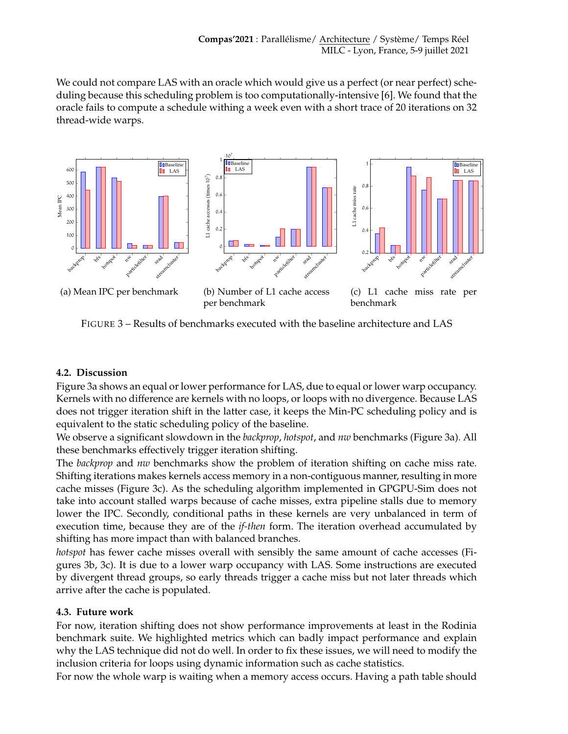We could not compare LAS with an oracle which would give us a perfect (or near perfect) scheduling because this scheduling problem is too computationally-intensive [6]. We found that the oracle fails to compute a schedule withing a week even with a short trace of 20 iterations on 32 thread-wide warps.



FIGURE 3 – Results of benchmarks executed with the baseline architecture and LAS

### **4.2. Discussion**

Figure 3a shows an equal or lower performance for LAS, due to equal or lower warp occupancy. Kernels with no difference are kernels with no loops, or loops with no divergence. Because LAS does not trigger iteration shift in the latter case, it keeps the Min-PC scheduling policy and is equivalent to the static scheduling policy of the baseline.

We observe a significant slowdown in the *backprop*, *hotspot*, and *nw* benchmarks (Figure 3a). All these benchmarks effectively trigger iteration shifting.

The *backprop* and *nw* benchmarks show the problem of iteration shifting on cache miss rate. Shifting iterations makes kernels access memory in a non-contiguous manner, resulting in more cache misses (Figure 3c). As the scheduling algorithm implemented in GPGPU-Sim does not take into account stalled warps because of cache misses, extra pipeline stalls due to memory lower the IPC. Secondly, conditional paths in these kernels are very unbalanced in term of execution time, because they are of the *if-then* form. The iteration overhead accumulated by shifting has more impact than with balanced branches.

*hotspot* has fewer cache misses overall with sensibly the same amount of cache accesses (Figures 3b, 3c). It is due to a lower warp occupancy with LAS. Some instructions are executed by divergent thread groups, so early threads trigger a cache miss but not later threads which arrive after the cache is populated.

### **4.3. Future work**

For now, iteration shifting does not show performance improvements at least in the Rodinia benchmark suite. We highlighted metrics which can badly impact performance and explain why the LAS technique did not do well. In order to fix these issues, we will need to modify the inclusion criteria for loops using dynamic information such as cache statistics.

For now the whole warp is waiting when a memory access occurs. Having a path table should